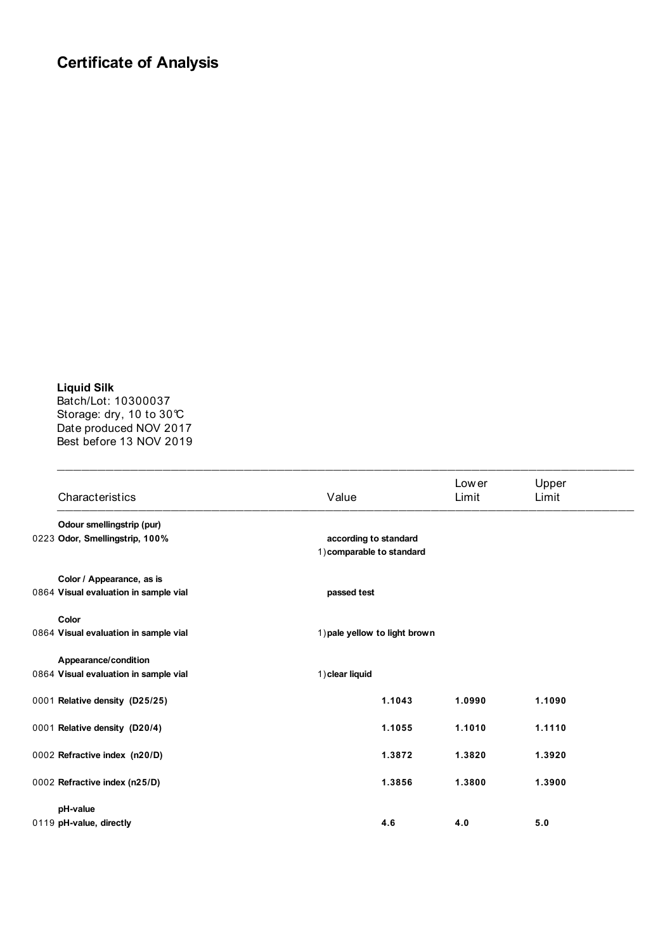## **Certificate of Analysis**

**Liquid Silk**  Batch/Lot: 10300037 Storage: dry, 10 to 30°C Date produced NOV 2017 Best before 13 NOV 2019

| Characteristics                       | Value                                              |        | Low er<br>Limit | Upper<br>Limit |
|---------------------------------------|----------------------------------------------------|--------|-----------------|----------------|
| Odour smellingstrip (pur)             |                                                    |        |                 |                |
| 0223 Odor, Smellingstrip, 100%        | according to standard<br>1) comparable to standard |        |                 |                |
| Color / Appearance, as is             |                                                    |        |                 |                |
| 0864 Visual evaluation in sample vial | passed test                                        |        |                 |                |
| Color                                 |                                                    |        |                 |                |
| 0864 Visual evaluation in sample vial | 1) pale yellow to light brown                      |        |                 |                |
| Appearance/condition                  |                                                    |        |                 |                |
| 0864 Visual evaluation in sample vial | 1) clear liquid                                    |        |                 |                |
| 0001 Relative density (D25/25)        |                                                    | 1.1043 | 1.0990          | 1.1090         |
| 0001 Relative density (D20/4)         |                                                    | 1.1055 | 1.1010          | 1.1110         |
| 0002 Refractive index (n20/D)         |                                                    | 1.3872 | 1.3820          | 1.3920         |
| 0002 Refractive index (n25/D)         |                                                    | 1.3856 | 1.3800          | 1.3900         |
| pH-value                              |                                                    |        |                 |                |
| 0119 pH-value, directly               |                                                    | 4.6    | 4.0             | 5.0            |

 $\_$  , and the contribution of the contribution of  $\mathcal{L}_\mathcal{A}$  , and the contribution of  $\mathcal{L}_\mathcal{A}$